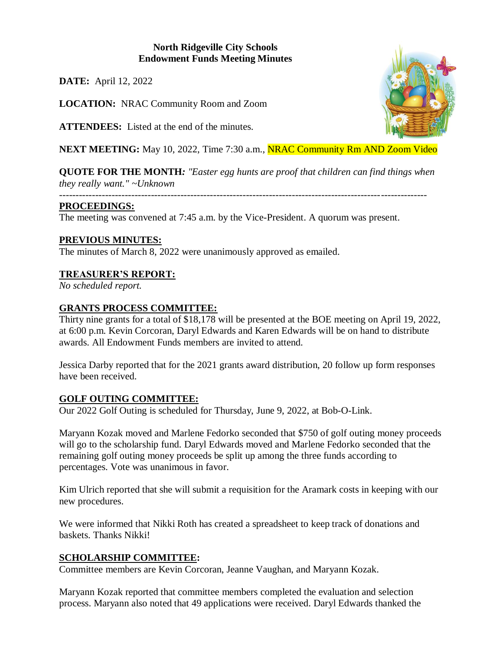# **North Ridgeville City Schools Endowment Funds Meeting Minutes**

**DATE:** April 12, 2022

**LOCATION:** NRAC Community Room and Zoom

**ATTENDEES:** Listed at the end of the minutes.

**NEXT MEETING:** May 10, 2022, Time 7:30 a.m., **NRAC Community Rm AND Zoom Video** 

**QUOTE FOR THE MONTH***: "Easter egg hunts are proof that children can find things when they really want." ~Unknown*

*----------------------------------------------------------------------------------------------------------------*

#### **PROCEEDINGS:**

The meeting was convened at 7:45 a.m. by the Vice-President. A quorum was present.

# **PREVIOUS MINUTES:**

The minutes of March 8, 2022 were unanimously approved as emailed.

# **TREASURER'S REPORT:**

*No scheduled report.*

# **GRANTS PROCESS COMMITTEE:**

Thirty nine grants for a total of \$18,178 will be presented at the BOE meeting on April 19, 2022, at 6:00 p.m. Kevin Corcoran, Daryl Edwards and Karen Edwards will be on hand to distribute awards. All Endowment Funds members are invited to attend.

Jessica Darby reported that for the 2021 grants award distribution, 20 follow up form responses have been received.

# **GOLF OUTING COMMITTEE:**

Our 2022 Golf Outing is scheduled for Thursday, June 9, 2022, at Bob-O-Link.

Maryann Kozak moved and Marlene Fedorko seconded that \$750 of golf outing money proceeds will go to the scholarship fund. Daryl Edwards moved and Marlene Fedorko seconded that the remaining golf outing money proceeds be split up among the three funds according to percentages. Vote was unanimous in favor.

Kim Ulrich reported that she will submit a requisition for the Aramark costs in keeping with our new procedures.

We were informed that Nikki Roth has created a spreadsheet to keep track of donations and baskets. Thanks Nikki!

# **SCHOLARSHIP COMMITTEE:**

Committee members are Kevin Corcoran, Jeanne Vaughan, and Maryann Kozak.

Maryann Kozak reported that committee members completed the evaluation and selection process. Maryann also noted that 49 applications were received. Daryl Edwards thanked the

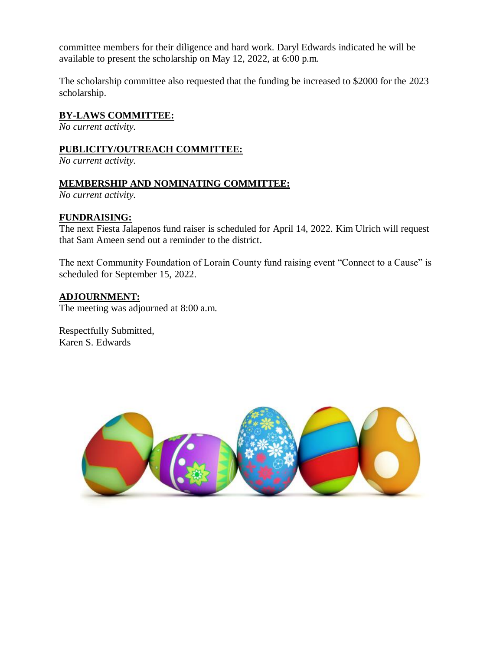committee members for their diligence and hard work. Daryl Edwards indicated he will be available to present the scholarship on May 12, 2022, at 6:00 p.m.

The scholarship committee also requested that the funding be increased to \$2000 for the 2023 scholarship.

#### **BY-LAWS COMMITTEE:**

*No current activity.*

#### **PUBLICITY/OUTREACH COMMITTEE:**

*No current activity.*

#### **MEMBERSHIP AND NOMINATING COMMITTEE:**

*No current activity.*

#### **FUNDRAISING:**

The next Fiesta Jalapenos fund raiser is scheduled for April 14, 2022. Kim Ulrich will request that Sam Ameen send out a reminder to the district.

The next Community Foundation of Lorain County fund raising event "Connect to a Cause" is scheduled for September 15, 2022.

#### **ADJOURNMENT:**

The meeting was adjourned at 8:00 a.m.

Respectfully Submitted, Karen S. Edwards